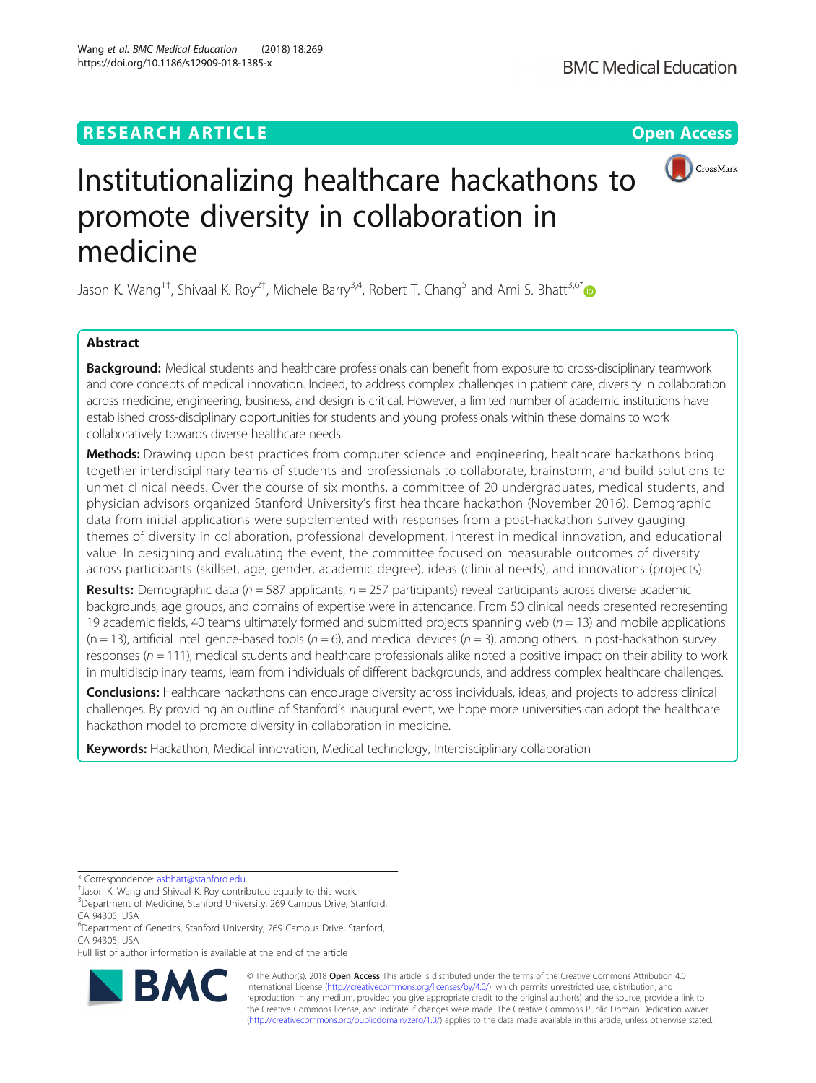# **RESEARCH ARTICLE Example 2014 12:30 The Contract of Contract ACCESS**



# Institutionalizing healthcare hackathons to promote diversity in collaboration in medicine

Jason K. Wang<sup>1†</sup>, Shivaal K. Roy<sup>2†</sup>, Michele Barry<sup>3,4</sup>, Robert T. Chang<sup>5</sup> and Ami S. Bhatt<sup>3,6[\\*](http://orcid.org/0000-0001-8099-2975)</sup>

# Abstract

Background: Medical students and healthcare professionals can benefit from exposure to cross-disciplinary teamwork and core concepts of medical innovation. Indeed, to address complex challenges in patient care, diversity in collaboration across medicine, engineering, business, and design is critical. However, a limited number of academic institutions have established cross-disciplinary opportunities for students and young professionals within these domains to work collaboratively towards diverse healthcare needs.

Methods: Drawing upon best practices from computer science and engineering, healthcare hackathons bring together interdisciplinary teams of students and professionals to collaborate, brainstorm, and build solutions to unmet clinical needs. Over the course of six months, a committee of 20 undergraduates, medical students, and physician advisors organized Stanford University's first healthcare hackathon (November 2016). Demographic data from initial applications were supplemented with responses from a post-hackathon survey gauging themes of diversity in collaboration, professional development, interest in medical innovation, and educational value. In designing and evaluating the event, the committee focused on measurable outcomes of diversity across participants (skillset, age, gender, academic degree), ideas (clinical needs), and innovations (projects).

Results: Demographic data ( $n = 587$  applicants,  $n = 257$  participants) reveal participants across diverse academic backgrounds, age groups, and domains of expertise were in attendance. From 50 clinical needs presented representing 19 academic fields, 40 teams ultimately formed and submitted projects spanning web  $(n = 13)$  and mobile applications  $(n = 13)$ , artificial intelligence-based tools  $(n = 6)$ , and medical devices  $(n = 3)$ , among others. In post-hackathon survey responses ( $n = 111$ ), medical students and healthcare professionals alike noted a positive impact on their ability to work in multidisciplinary teams, learn from individuals of different backgrounds, and address complex healthcare challenges.

Conclusions: Healthcare hackathons can encourage diversity across individuals, ideas, and projects to address clinical challenges. By providing an outline of Stanford's inaugural event, we hope more universities can adopt the healthcare hackathon model to promote diversity in collaboration in medicine.

Keywords: Hackathon, Medical innovation, Medical technology, Interdisciplinary collaboration

\* Correspondence: [asbhatt@stanford.edu](mailto:asbhatt@stanford.edu) †

<sup>+</sup> Jason K. Wang and Shivaal K. Roy contributed equally to this work.

Full list of author information is available at the end of the article



© The Author(s). 2018 Open Access This article is distributed under the terms of the Creative Commons Attribution 4.0 International License [\(http://creativecommons.org/licenses/by/4.0/](http://creativecommons.org/licenses/by/4.0/)), which permits unrestricted use, distribution, and reproduction in any medium, provided you give appropriate credit to the original author(s) and the source, provide a link to the Creative Commons license, and indicate if changes were made. The Creative Commons Public Domain Dedication waiver [\(http://creativecommons.org/publicdomain/zero/1.0/](http://creativecommons.org/publicdomain/zero/1.0/)) applies to the data made available in this article, unless otherwise stated.

<sup>&</sup>lt;sup>3</sup>Department of Medicine, Stanford University, 269 Campus Drive, Stanford, CA 94305, USA

<sup>&</sup>lt;sup>6</sup>Department of Genetics, Stanford University, 269 Campus Drive, Stanford, CA 94305, USA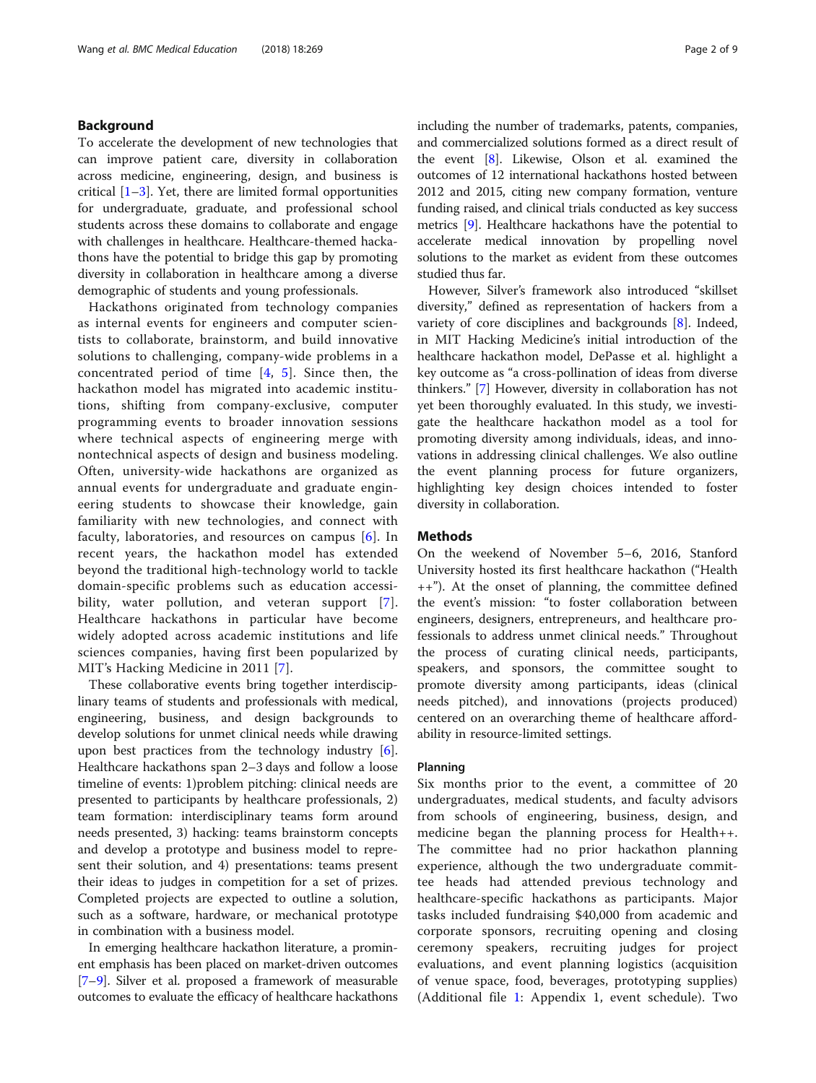# Background

To accelerate the development of new technologies that can improve patient care, diversity in collaboration across medicine, engineering, design, and business is critical [[1](#page-8-0)–[3\]](#page-8-0). Yet, there are limited formal opportunities for undergraduate, graduate, and professional school students across these domains to collaborate and engage with challenges in healthcare. Healthcare-themed hackathons have the potential to bridge this gap by promoting diversity in collaboration in healthcare among a diverse demographic of students and young professionals.

Hackathons originated from technology companies as internal events for engineers and computer scientists to collaborate, brainstorm, and build innovative solutions to challenging, company-wide problems in a concentrated period of time [[4,](#page-8-0) [5\]](#page-8-0). Since then, the hackathon model has migrated into academic institutions, shifting from company-exclusive, computer programming events to broader innovation sessions where technical aspects of engineering merge with nontechnical aspects of design and business modeling. Often, university-wide hackathons are organized as annual events for undergraduate and graduate engineering students to showcase their knowledge, gain familiarity with new technologies, and connect with faculty, laboratories, and resources on campus [[6\]](#page-8-0). In recent years, the hackathon model has extended beyond the traditional high-technology world to tackle domain-specific problems such as education accessi-bility, water pollution, and veteran support [[7](#page-8-0)]. Healthcare hackathons in particular have become widely adopted across academic institutions and life sciences companies, having first been popularized by MIT's Hacking Medicine in 2011 [\[7](#page-8-0)].

These collaborative events bring together interdisciplinary teams of students and professionals with medical, engineering, business, and design backgrounds to develop solutions for unmet clinical needs while drawing upon best practices from the technology industry [\[6](#page-8-0)]. Healthcare hackathons span 2–3 days and follow a loose timeline of events: 1)problem pitching: clinical needs are presented to participants by healthcare professionals, 2) team formation: interdisciplinary teams form around needs presented, 3) hacking: teams brainstorm concepts and develop a prototype and business model to represent their solution, and 4) presentations: teams present their ideas to judges in competition for a set of prizes. Completed projects are expected to outline a solution, such as a software, hardware, or mechanical prototype in combination with a business model.

In emerging healthcare hackathon literature, a prominent emphasis has been placed on market-driven outcomes [[7](#page-8-0)–[9](#page-8-0)]. Silver et al. proposed a framework of measurable outcomes to evaluate the efficacy of healthcare hackathons including the number of trademarks, patents, companies, and commercialized solutions formed as a direct result of the event [[8](#page-8-0)]. Likewise, Olson et al. examined the outcomes of 12 international hackathons hosted between 2012 and 2015, citing new company formation, venture funding raised, and clinical trials conducted as key success metrics [\[9](#page-8-0)]. Healthcare hackathons have the potential to accelerate medical innovation by propelling novel solutions to the market as evident from these outcomes studied thus far.

However, Silver's framework also introduced "skillset diversity," defined as representation of hackers from a variety of core disciplines and backgrounds [\[8](#page-8-0)]. Indeed, in MIT Hacking Medicine's initial introduction of the healthcare hackathon model, DePasse et al. highlight a key outcome as "a cross-pollination of ideas from diverse thinkers." [\[7\]](#page-8-0) However, diversity in collaboration has not yet been thoroughly evaluated. In this study, we investigate the healthcare hackathon model as a tool for promoting diversity among individuals, ideas, and innovations in addressing clinical challenges. We also outline the event planning process for future organizers, highlighting key design choices intended to foster diversity in collaboration.

# **Methods**

On the weekend of November 5–6, 2016, Stanford University hosted its first healthcare hackathon ("Health ++"). At the onset of planning, the committee defined the event's mission: "to foster collaboration between engineers, designers, entrepreneurs, and healthcare professionals to address unmet clinical needs." Throughout the process of curating clinical needs, participants, speakers, and sponsors, the committee sought to promote diversity among participants, ideas (clinical needs pitched), and innovations (projects produced) centered on an overarching theme of healthcare affordability in resource-limited settings.

# Planning

Six months prior to the event, a committee of 20 undergraduates, medical students, and faculty advisors from schools of engineering, business, design, and medicine began the planning process for Health++. The committee had no prior hackathon planning experience, although the two undergraduate committee heads had attended previous technology and healthcare-specific hackathons as participants. Major tasks included fundraising \$40,000 from academic and corporate sponsors, recruiting opening and closing ceremony speakers, recruiting judges for project evaluations, and event planning logistics (acquisition of venue space, food, beverages, prototyping supplies) (Additional file [1](#page-7-0): Appendix 1, event schedule). Two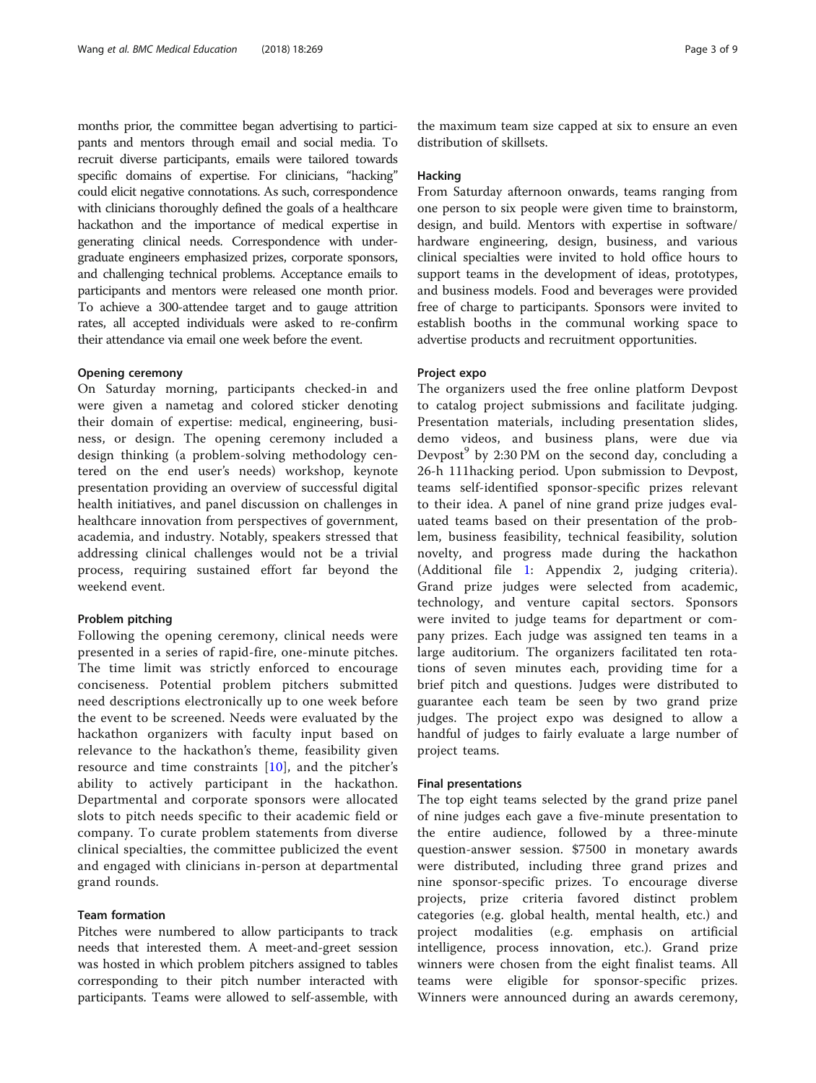months prior, the committee began advertising to participants and mentors through email and social media. To recruit diverse participants, emails were tailored towards specific domains of expertise. For clinicians, "hacking" could elicit negative connotations. As such, correspondence with clinicians thoroughly defined the goals of a healthcare hackathon and the importance of medical expertise in generating clinical needs. Correspondence with undergraduate engineers emphasized prizes, corporate sponsors, and challenging technical problems. Acceptance emails to participants and mentors were released one month prior. To achieve a 300-attendee target and to gauge attrition rates, all accepted individuals were asked to re-confirm their attendance via email one week before the event.

# Opening ceremony

On Saturday morning, participants checked-in and were given a nametag and colored sticker denoting their domain of expertise: medical, engineering, business, or design. The opening ceremony included a design thinking (a problem-solving methodology centered on the end user's needs) workshop, keynote presentation providing an overview of successful digital health initiatives, and panel discussion on challenges in healthcare innovation from perspectives of government, academia, and industry. Notably, speakers stressed that addressing clinical challenges would not be a trivial process, requiring sustained effort far beyond the weekend event.

### Problem pitching

Following the opening ceremony, clinical needs were presented in a series of rapid-fire, one-minute pitches. The time limit was strictly enforced to encourage conciseness. Potential problem pitchers submitted need descriptions electronically up to one week before the event to be screened. Needs were evaluated by the hackathon organizers with faculty input based on relevance to the hackathon's theme, feasibility given resource and time constraints [\[10\]](#page-8-0), and the pitcher's ability to actively participant in the hackathon. Departmental and corporate sponsors were allocated slots to pitch needs specific to their academic field or company. To curate problem statements from diverse clinical specialties, the committee publicized the event and engaged with clinicians in-person at departmental grand rounds.

# Team formation

Pitches were numbered to allow participants to track needs that interested them. A meet-and-greet session was hosted in which problem pitchers assigned to tables corresponding to their pitch number interacted with participants. Teams were allowed to self-assemble, with the maximum team size capped at six to ensure an even distribution of skillsets.

#### Hacking

From Saturday afternoon onwards, teams ranging from one person to six people were given time to brainstorm, design, and build. Mentors with expertise in software/ hardware engineering, design, business, and various clinical specialties were invited to hold office hours to support teams in the development of ideas, prototypes, and business models. Food and beverages were provided free of charge to participants. Sponsors were invited to establish booths in the communal working space to advertise products and recruitment opportunities.

#### Project expo

The organizers used the free online platform Devpost to catalog project submissions and facilitate judging. Presentation materials, including presentation slides, demo videos, and business plans, were due via Devpost<sup>9</sup> by 2:30 PM on the second day, concluding a 26-h 111hacking period. Upon submission to Devpost, teams self-identified sponsor-specific prizes relevant to their idea. A panel of nine grand prize judges evaluated teams based on their presentation of the problem, business feasibility, technical feasibility, solution novelty, and progress made during the hackathon (Additional file [1](#page-7-0): Appendix 2, judging criteria). Grand prize judges were selected from academic, technology, and venture capital sectors. Sponsors were invited to judge teams for department or company prizes. Each judge was assigned ten teams in a large auditorium. The organizers facilitated ten rotations of seven minutes each, providing time for a brief pitch and questions. Judges were distributed to guarantee each team be seen by two grand prize judges. The project expo was designed to allow a handful of judges to fairly evaluate a large number of project teams.

# Final presentations

The top eight teams selected by the grand prize panel of nine judges each gave a five-minute presentation to the entire audience, followed by a three-minute question-answer session. \$7500 in monetary awards were distributed, including three grand prizes and nine sponsor-specific prizes. To encourage diverse projects, prize criteria favored distinct problem categories (e.g. global health, mental health, etc.) and project modalities (e.g. emphasis on artificial intelligence, process innovation, etc.). Grand prize winners were chosen from the eight finalist teams. All teams were eligible for sponsor-specific prizes. Winners were announced during an awards ceremony,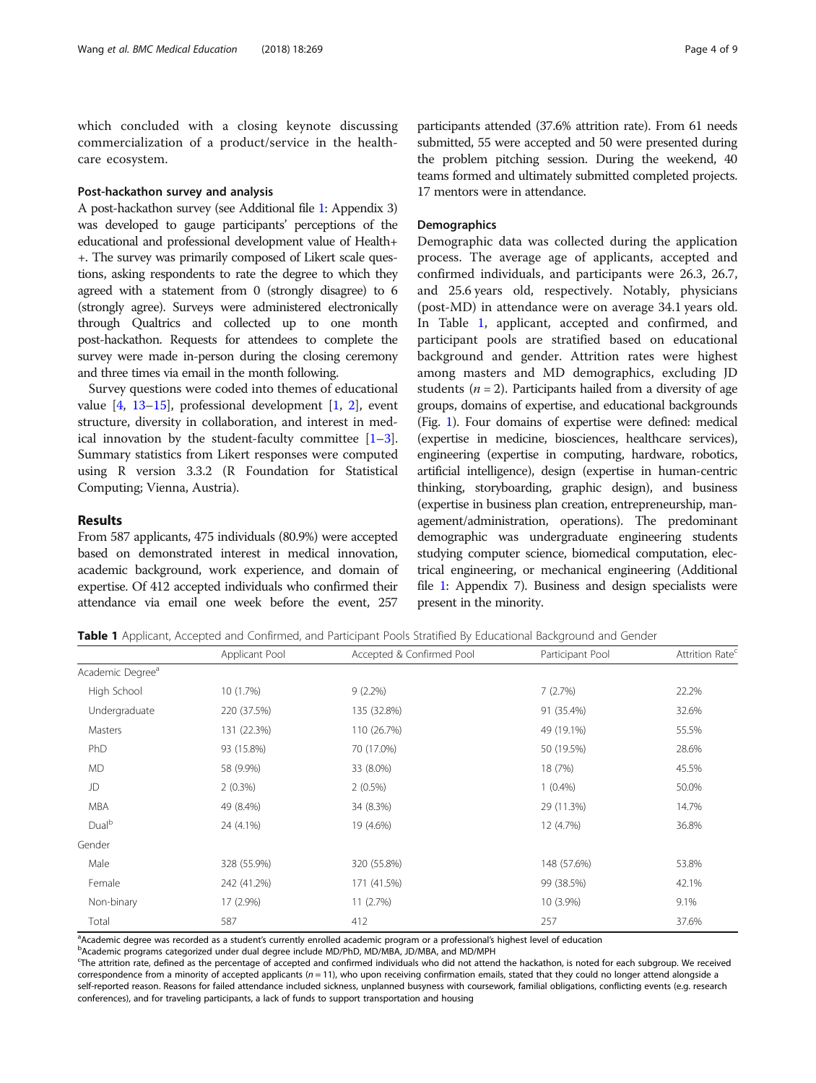<span id="page-3-0"></span>which concluded with a closing keynote discussing commercialization of a product/service in the healthcare ecosystem.

# Post-hackathon survey and analysis

A post-hackathon survey (see Additional file [1](#page-7-0): Appendix 3) was developed to gauge participants' perceptions of the educational and professional development value of Health+ +. The survey was primarily composed of Likert scale questions, asking respondents to rate the degree to which they agreed with a statement from 0 (strongly disagree) to 6 (strongly agree). Surveys were administered electronically through Qualtrics and collected up to one month post-hackathon. Requests for attendees to complete the survey were made in-person during the closing ceremony and three times via email in the month following.

Survey questions were coded into themes of educational value [\[4,](#page-8-0) [13](#page-8-0)–[15\]](#page-8-0), professional development [\[1,](#page-8-0) [2](#page-8-0)], event structure, diversity in collaboration, and interest in medical innovation by the student-faculty committee  $[1-3]$  $[1-3]$  $[1-3]$  $[1-3]$  $[1-3]$ . Summary statistics from Likert responses were computed using R version 3.3.2 (R Foundation for Statistical Computing; Vienna, Austria).

# Results

From 587 applicants, 475 individuals (80.9%) were accepted based on demonstrated interest in medical innovation, academic background, work experience, and domain of expertise. Of 412 accepted individuals who confirmed their attendance via email one week before the event, 257

participants attended (37.6% attrition rate). From 61 needs submitted, 55 were accepted and 50 were presented during the problem pitching session. During the weekend, 40 teams formed and ultimately submitted completed projects. 17 mentors were in attendance.

# **Demographics**

Demographic data was collected during the application process. The average age of applicants, accepted and confirmed individuals, and participants were 26.3, 26.7, and 25.6 years old, respectively. Notably, physicians (post-MD) in attendance were on average 34.1 years old. In Table 1, applicant, accepted and confirmed, and participant pools are stratified based on educational background and gender. Attrition rates were highest among masters and MD demographics, excluding JD students ( $n = 2$ ). Participants hailed from a diversity of age groups, domains of expertise, and educational backgrounds (Fig. [1](#page-4-0)). Four domains of expertise were defined: medical (expertise in medicine, biosciences, healthcare services), engineering (expertise in computing, hardware, robotics, artificial intelligence), design (expertise in human-centric thinking, storyboarding, graphic design), and business (expertise in business plan creation, entrepreneurship, management/administration, operations). The predominant demographic was undergraduate engineering students studying computer science, biomedical computation, electrical engineering, or mechanical engineering (Additional file [1:](#page-7-0) Appendix 7). Business and design specialists were present in the minority.

|  |  | Table 1 Applicant, Accepted and Confirmed, and Participant Pools Stratified By Educational Background and Gender |  |  |
|--|--|------------------------------------------------------------------------------------------------------------------|--|--|
|  |  |                                                                                                                  |  |  |

|                              | Applicant Pool | Accepted & Confirmed Pool | Participant Pool | Attrition Rate <sup>c</sup> |
|------------------------------|----------------|---------------------------|------------------|-----------------------------|
| Academic Degree <sup>a</sup> |                |                           |                  |                             |
| High School                  | 10 (1.7%)      | $9(2.2\%)$                | 7(2.7%)          | 22.2%                       |
| Undergraduate                | 220 (37.5%)    | 135 (32.8%)               | 91 (35.4%)       | 32.6%                       |
| Masters                      | 131 (22.3%)    | 110 (26.7%)               | 49 (19.1%)       | 55.5%                       |
| PhD                          | 93 (15.8%)     | 70 (17.0%)                | 50 (19.5%)       | 28.6%                       |
| <b>MD</b>                    | 58 (9.9%)      | 33 (8.0%)                 | 18 (7%)          | 45.5%                       |
| JD                           | $2(0.3\%)$     | $2(0.5\%)$                | $1(0.4\%)$       | 50.0%                       |
| <b>MBA</b>                   | 49 (8.4%)      | 34 (8.3%)                 | 29 (11.3%)       | 14.7%                       |
| Dual <sup>b</sup>            | 24 (4.1%)      | 19 (4.6%)                 | 12 (4.7%)        | 36.8%                       |
| Gender                       |                |                           |                  |                             |
| Male                         | 328 (55.9%)    | 320 (55.8%)               | 148 (57.6%)      | 53.8%                       |
| Female                       | 242 (41.2%)    | 171 (41.5%)               | 99 (38.5%)       | 42.1%                       |
| Non-binary                   | 17 (2.9%)      | 11(2.7%)                  | 10 (3.9%)        | 9.1%                        |
| Total                        | 587            | 412                       | 257              | 37.6%                       |

a<br>Academic degree was recorded as a student's currently enrolled academic program or a professional's highest level of education<br>Pacademic programs satesprized under dual dogree include MD/PbD, MD/MPA, JD/MPA, and MD/MPH

<sup>b</sup>Academic programs categorized under dual degree include MD/PhD, MD/MBA, JD/MBA, and MD/MPH

c The attrition rate, defined as the percentage of accepted and confirmed individuals who did not attend the hackathon, is noted for each subgroup. We received correspondence from a minority of accepted applicants ( $n = 11$ ), who upon receiving confirmation emails, stated that they could no longer attend alongside a self-reported reason. Reasons for failed attendance included sickness, unplanned busyness with coursework, familial obligations, conflicting events (e.g. research conferences), and for traveling participants, a lack of funds to support transportation and housing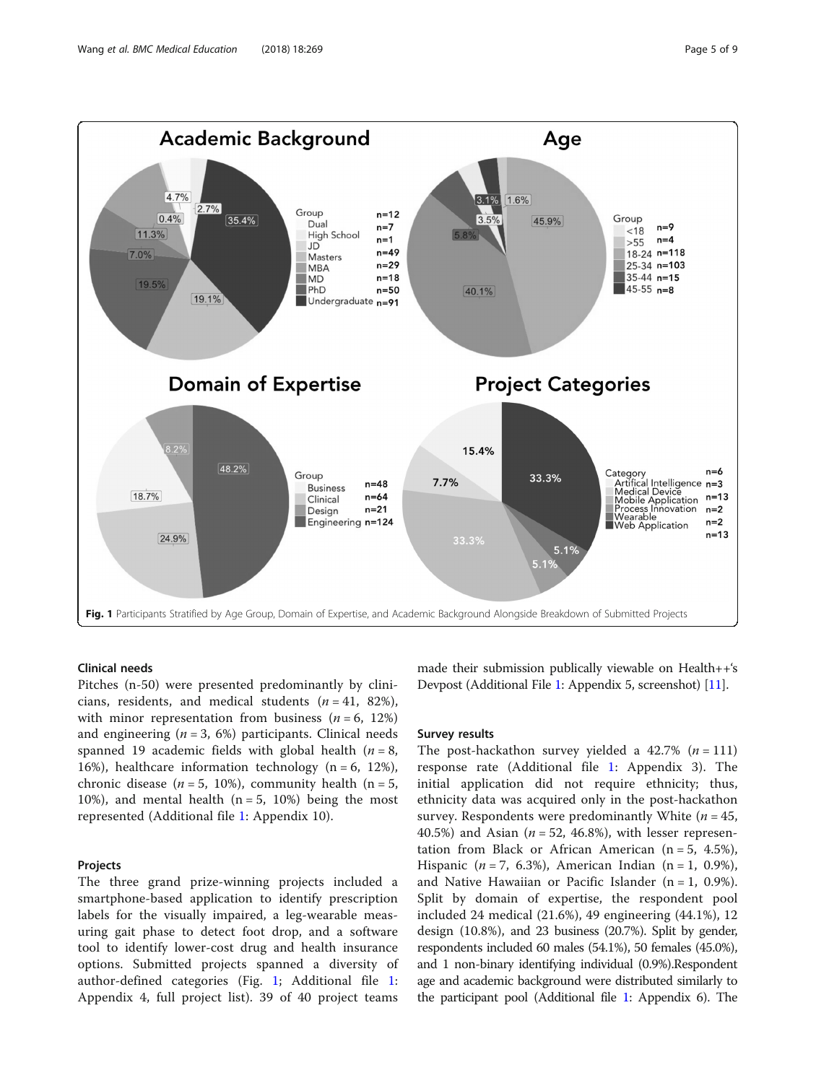<span id="page-4-0"></span>

### Clinical needs

Pitches (n-50) were presented predominantly by clinicians, residents, and medical students  $(n = 41, 82\%)$ , with minor representation from business  $(n = 6, 12\%)$ and engineering  $(n = 3, 6%)$  participants. Clinical needs spanned 19 academic fields with global health ( $n = 8$ , 16%), healthcare information technology ( $n = 6$ , 12%), chronic disease ( $n = 5$ , 10%), community health ( $n = 5$ , 10%), and mental health  $(n = 5, 10%)$  being the most represented (Additional file [1](#page-7-0): Appendix 10).

# Projects

The three grand prize-winning projects included a smartphone-based application to identify prescription labels for the visually impaired, a leg-wearable measuring gait phase to detect foot drop, and a software tool to identify lower-cost drug and health insurance options. Submitted projects spanned a diversity of author-defined categories (Fig. 1; Additional file [1](#page-7-0): Appendix 4, full project list). 39 of 40 project teams made their submission publically viewable on Health++'s Devpost (Additional File [1:](#page-7-0) Appendix 5, screenshot) [\[11\]](#page-8-0).

#### Survey results

The post-hackathon survey yielded a 42.7%  $(n = 111)$ response rate (Additional file [1:](#page-7-0) Appendix 3). The initial application did not require ethnicity; thus, ethnicity data was acquired only in the post-hackathon survey. Respondents were predominantly White ( $n = 45$ , 40.5%) and Asian ( $n = 52, 46.8$ %), with lesser representation from Black or African American ( $n = 5$ , 4.5%), Hispanic ( $n = 7, 6.3\%$ ), American Indian ( $n = 1, 0.9\%$ ), and Native Hawaiian or Pacific Islander ( $n = 1$ , 0.9%). Split by domain of expertise, the respondent pool included 24 medical (21.6%), 49 engineering (44.1%), 12 design (10.8%), and 23 business (20.7%). Split by gender, respondents included 60 males (54.1%), 50 females (45.0%), and 1 non-binary identifying individual (0.9%).Respondent age and academic background were distributed similarly to the participant pool (Additional file [1](#page-7-0): Appendix 6). The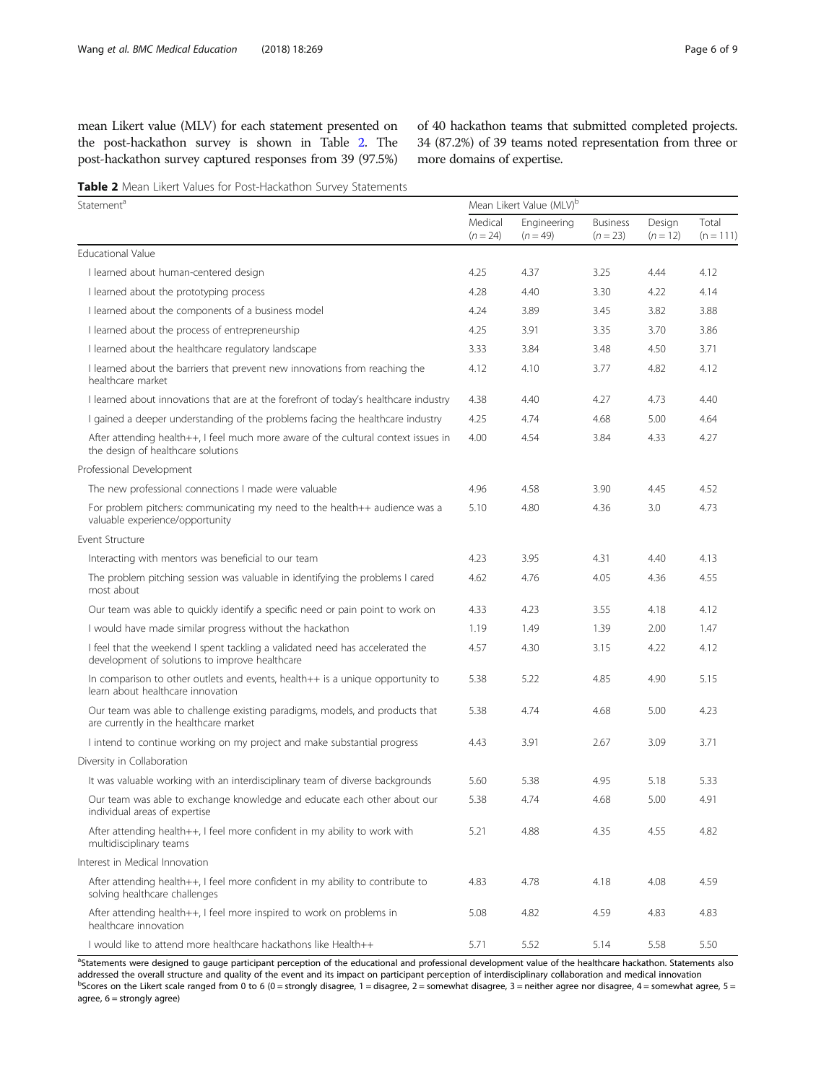<span id="page-5-0"></span>mean Likert value (MLV) for each statement presented on the post-hackathon survey is shown in Table 2. The post-hackathon survey captured responses from 39 (97.5%) of 40 hackathon teams that submitted completed projects. 34 (87.2%) of 39 teams noted representation from three or more domains of expertise.

Table 2 Mean Likert Values for Post-Hackathon Survey Statements

| Statement <sup>a</sup>                                                                                                          |                       | Mean Likert Value (MLV) <sup>b</sup> |                               |                      |                      |  |  |
|---------------------------------------------------------------------------------------------------------------------------------|-----------------------|--------------------------------------|-------------------------------|----------------------|----------------------|--|--|
|                                                                                                                                 | Medical<br>$(n = 24)$ | Engineering<br>$(n = 49)$            | <b>Business</b><br>$(n = 23)$ | Design<br>$(n = 12)$ | Total<br>$(n = 111)$ |  |  |
| Educational Value                                                                                                               |                       |                                      |                               |                      |                      |  |  |
| I learned about human-centered design                                                                                           | 4.25                  | 4.37                                 | 3.25                          | 4.44                 | 4.12                 |  |  |
| I learned about the prototyping process                                                                                         | 4.28                  | 4.40                                 | 3.30                          | 4.22                 | 4.14                 |  |  |
| I learned about the components of a business model                                                                              | 4.24                  | 3.89                                 | 3.45                          | 3.82                 | 3.88                 |  |  |
| I learned about the process of entrepreneurship                                                                                 | 4.25                  | 3.91                                 | 3.35                          | 3.70                 | 3.86                 |  |  |
| I learned about the healthcare regulatory landscape                                                                             | 3.33                  | 3.84                                 | 3.48                          | 4.50                 | 3.71                 |  |  |
| I learned about the barriers that prevent new innovations from reaching the<br>healthcare market                                | 4.12                  | 4.10                                 | 3.77                          | 4.82                 | 4.12                 |  |  |
| I learned about innovations that are at the forefront of today's healthcare industry                                            | 4.38                  | 4.40                                 | 4.27                          | 4.73                 | 4.40                 |  |  |
| I gained a deeper understanding of the problems facing the healthcare industry                                                  | 4.25                  | 4.74                                 | 4.68                          | 5.00                 | 4.64                 |  |  |
| After attending health++, I feel much more aware of the cultural context issues in<br>the design of healthcare solutions        | 4.00                  | 4.54                                 | 3.84                          | 4.33                 | 4.27                 |  |  |
| Professional Development                                                                                                        |                       |                                      |                               |                      |                      |  |  |
| The new professional connections I made were valuable                                                                           | 4.96                  | 4.58                                 | 3.90                          | 4.45                 | 4.52                 |  |  |
| For problem pitchers: communicating my need to the health++ audience was a<br>valuable experience/opportunity                   | 5.10                  | 4.80                                 | 4.36                          | 3.0                  | 4.73                 |  |  |
| Event Structure                                                                                                                 |                       |                                      |                               |                      |                      |  |  |
| Interacting with mentors was beneficial to our team                                                                             | 4.23                  | 3.95                                 | 4.31                          | 4.40                 | 4.13                 |  |  |
| The problem pitching session was valuable in identifying the problems I cared<br>most about                                     | 4.62                  | 4.76                                 | 4.05                          | 4.36                 | 4.55                 |  |  |
| Our team was able to quickly identify a specific need or pain point to work on                                                  | 4.33                  | 4.23                                 | 3.55                          | 4.18                 | 4.12                 |  |  |
| I would have made similar progress without the hackathon                                                                        | 1.19                  | 1.49                                 | 1.39                          | 2.00                 | 1.47                 |  |  |
| I feel that the weekend I spent tackling a validated need has accelerated the<br>development of solutions to improve healthcare | 4.57                  | 4.30                                 | 3.15                          | 4.22                 | 4.12                 |  |  |
| In comparison to other outlets and events, health++ is a unique opportunity to<br>learn about healthcare innovation             | 5.38                  | 5.22                                 | 4.85                          | 4.90                 | 5.15                 |  |  |
| Our team was able to challenge existing paradigms, models, and products that<br>are currently in the healthcare market          | 5.38                  | 4.74                                 | 4.68                          | 5.00                 | 4.23                 |  |  |
| I intend to continue working on my project and make substantial progress                                                        | 4.43                  | 3.91                                 | 2.67                          | 3.09                 | 3.71                 |  |  |
| Diversity in Collaboration                                                                                                      |                       |                                      |                               |                      |                      |  |  |
| It was valuable working with an interdisciplinary team of diverse backgrounds                                                   | 5.60                  | 5.38                                 | 4.95                          | 5.18                 | 5.33                 |  |  |
| Our team was able to exchange knowledge and educate each other about our<br>individual areas of expertise                       | 5.38                  | 4.74                                 | 4.68                          | 5.00                 | 4.91                 |  |  |
| After attending health++, I feel more confident in my ability to work with<br>multidisciplinary teams                           | 5.21                  | 4.88                                 | 4.35                          | 4.55                 | 4.82                 |  |  |
| Interest in Medical Innovation                                                                                                  |                       |                                      |                               |                      |                      |  |  |
| After attending health++, I feel more confident in my ability to contribute to<br>solving healthcare challenges                 | 4.83                  | 4.78                                 | 4.18                          | 4.08                 | 4.59                 |  |  |
| After attending health++, I feel more inspired to work on problems in<br>healthcare innovation                                  | 5.08                  | 4.82                                 | 4.59                          | 4.83                 | 4.83                 |  |  |
| I would like to attend more healthcare hackathons like Health++                                                                 | 5.71                  | 5.52                                 | 5.14                          | 5.58                 | 5.50                 |  |  |

<sup>a</sup>Statements were designed to gauge participant perception of the educational and professional development value of the healthcare hackathon. Statements also addressed the overall structure and quality of the event and its impact on participant perception of interdisciplinary collaboration and medical innovation<br><sup>b</sup>Scores on the Likert scale ranged from 0 to 6 (0 = strongly dis agree, 6 = strongly agree)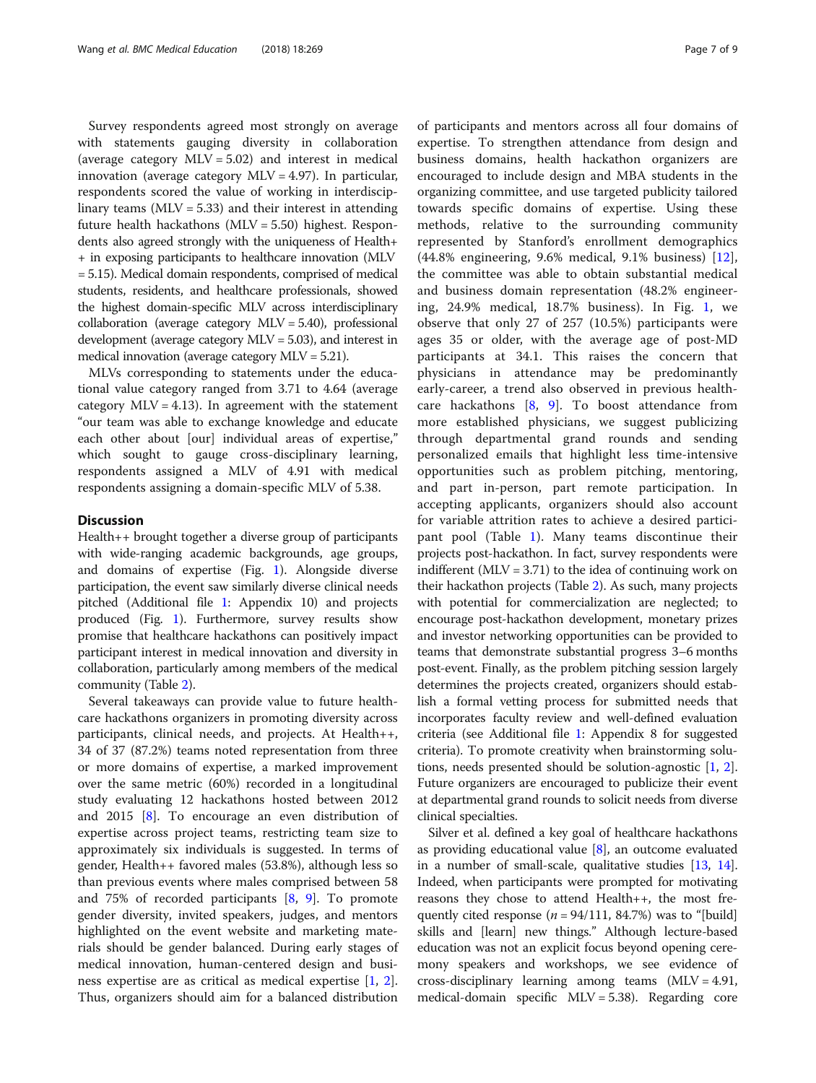Survey respondents agreed most strongly on average with statements gauging diversity in collaboration (average category  $MLV = 5.02$ ) and interest in medical innovation (average category MLV = 4.97). In particular, respondents scored the value of working in interdisciplinary teams (MLV = 5.33) and their interest in attending future health hackathons (MLV = 5.50) highest. Respondents also agreed strongly with the uniqueness of Health+ + in exposing participants to healthcare innovation (MLV = 5.15). Medical domain respondents, comprised of medical students, residents, and healthcare professionals, showed the highest domain-specific MLV across interdisciplinary collaboration (average category MLV = 5.40), professional development (average category MLV = 5.03), and interest in medical innovation (average category MLV = 5.21).

MLVs corresponding to statements under the educational value category ranged from 3.71 to 4.64 (average category  $MLV = 4.13$ ). In agreement with the statement "our team was able to exchange knowledge and educate each other about [our] individual areas of expertise," which sought to gauge cross-disciplinary learning, respondents assigned a MLV of 4.91 with medical respondents assigning a domain-specific MLV of 5.38.

# **Discussion**

Health++ brought together a diverse group of participants with wide-ranging academic backgrounds, age groups, and domains of expertise (Fig. [1](#page-4-0)). Alongside diverse participation, the event saw similarly diverse clinical needs pitched (Additional file [1](#page-7-0): Appendix 10) and projects produced (Fig. [1\)](#page-4-0). Furthermore, survey results show promise that healthcare hackathons can positively impact participant interest in medical innovation and diversity in collaboration, particularly among members of the medical community (Table [2\)](#page-5-0).

Several takeaways can provide value to future healthcare hackathons organizers in promoting diversity across participants, clinical needs, and projects. At Health++, 34 of 37 (87.2%) teams noted representation from three or more domains of expertise, a marked improvement over the same metric (60%) recorded in a longitudinal study evaluating 12 hackathons hosted between 2012 and 2015 [[8](#page-8-0)]. To encourage an even distribution of expertise across project teams, restricting team size to approximately six individuals is suggested. In terms of gender, Health++ favored males (53.8%), although less so than previous events where males comprised between 58 and 75% of recorded participants [[8,](#page-8-0) [9\]](#page-8-0). To promote gender diversity, invited speakers, judges, and mentors highlighted on the event website and marketing materials should be gender balanced. During early stages of medical innovation, human-centered design and business expertise are as critical as medical expertise [\[1](#page-8-0), [2](#page-8-0)]. Thus, organizers should aim for a balanced distribution

of participants and mentors across all four domains of expertise. To strengthen attendance from design and business domains, health hackathon organizers are encouraged to include design and MBA students in the organizing committee, and use targeted publicity tailored towards specific domains of expertise. Using these methods, relative to the surrounding community represented by Stanford's enrollment demographics (44.8% engineering, 9.6% medical, 9.1% business) [\[12](#page-8-0)], the committee was able to obtain substantial medical and business domain representation (48.2% engineering, 24.9% medical, 18.7% business). In Fig. [1](#page-4-0), we observe that only 27 of 257 (10.5%) participants were ages 35 or older, with the average age of post-MD participants at 34.1. This raises the concern that physicians in attendance may be predominantly early-career, a trend also observed in previous healthcare hackathons [\[8](#page-8-0), [9](#page-8-0)]. To boost attendance from more established physicians, we suggest publicizing through departmental grand rounds and sending personalized emails that highlight less time-intensive opportunities such as problem pitching, mentoring, and part in-person, part remote participation. In accepting applicants, organizers should also account for variable attrition rates to achieve a desired participant pool (Table [1\)](#page-3-0). Many teams discontinue their projects post-hackathon. In fact, survey respondents were indifferent  $(MLV = 3.71)$  to the idea of continuing work on their hackathon projects (Table [2](#page-5-0)). As such, many projects with potential for commercialization are neglected; to encourage post-hackathon development, monetary prizes and investor networking opportunities can be provided to teams that demonstrate substantial progress 3–6 months post-event. Finally, as the problem pitching session largely determines the projects created, organizers should establish a formal vetting process for submitted needs that incorporates faculty review and well-defined evaluation criteria (see Additional file [1:](#page-7-0) Appendix 8 for suggested criteria). To promote creativity when brainstorming solutions, needs presented should be solution-agnostic [\[1,](#page-8-0) [2](#page-8-0)]. Future organizers are encouraged to publicize their event at departmental grand rounds to solicit needs from diverse clinical specialties.

Silver et al. defined a key goal of healthcare hackathons as providing educational value [\[8](#page-8-0)], an outcome evaluated in a number of small-scale, qualitative studies [\[13,](#page-8-0) [14](#page-8-0)]. Indeed, when participants were prompted for motivating reasons they chose to attend Health++, the most frequently cited response ( $n = 94/111$ , 84.7%) was to "[build] skills and [learn] new things." Although lecture-based education was not an explicit focus beyond opening ceremony speakers and workshops, we see evidence of cross-disciplinary learning among teams (MLV = 4.91, medical-domain specific MLV = 5.38). Regarding core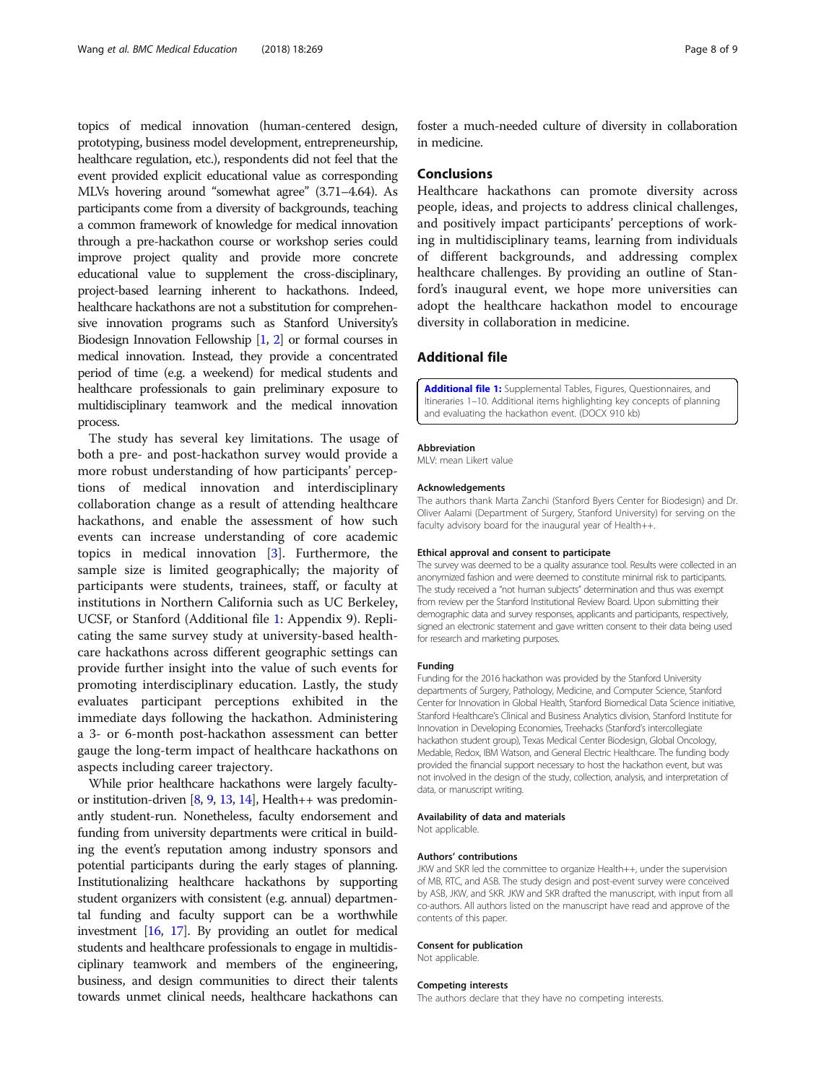<span id="page-7-0"></span>topics of medical innovation (human-centered design, prototyping, business model development, entrepreneurship, healthcare regulation, etc.), respondents did not feel that the event provided explicit educational value as corresponding MLVs hovering around "somewhat agree" (3.71–4.64). As participants come from a diversity of backgrounds, teaching a common framework of knowledge for medical innovation through a pre-hackathon course or workshop series could improve project quality and provide more concrete educational value to supplement the cross-disciplinary, project-based learning inherent to hackathons. Indeed, healthcare hackathons are not a substitution for comprehensive innovation programs such as Stanford University's Biodesign Innovation Fellowship [[1](#page-8-0), [2](#page-8-0)] or formal courses in medical innovation. Instead, they provide a concentrated period of time (e.g. a weekend) for medical students and healthcare professionals to gain preliminary exposure to multidisciplinary teamwork and the medical innovation process.

The study has several key limitations. The usage of both a pre- and post-hackathon survey would provide a more robust understanding of how participants' perceptions of medical innovation and interdisciplinary collaboration change as a result of attending healthcare hackathons, and enable the assessment of how such events can increase understanding of core academic topics in medical innovation [[3\]](#page-8-0). Furthermore, the sample size is limited geographically; the majority of participants were students, trainees, staff, or faculty at institutions in Northern California such as UC Berkeley, UCSF, or Stanford (Additional file 1: Appendix 9). Replicating the same survey study at university-based healthcare hackathons across different geographic settings can provide further insight into the value of such events for promoting interdisciplinary education. Lastly, the study evaluates participant perceptions exhibited in the immediate days following the hackathon. Administering a 3- or 6-month post-hackathon assessment can better gauge the long-term impact of healthcare hackathons on aspects including career trajectory.

While prior healthcare hackathons were largely facultyor institution-driven  $[8, 9, 13, 14]$  $[8, 9, 13, 14]$  $[8, 9, 13, 14]$  $[8, 9, 13, 14]$  $[8, 9, 13, 14]$  $[8, 9, 13, 14]$  $[8, 9, 13, 14]$  $[8, 9, 13, 14]$ , Health++ was predominantly student-run. Nonetheless, faculty endorsement and funding from university departments were critical in building the event's reputation among industry sponsors and potential participants during the early stages of planning. Institutionalizing healthcare hackathons by supporting student organizers with consistent (e.g. annual) departmental funding and faculty support can be a worthwhile investment [\[16](#page-8-0), [17\]](#page-8-0). By providing an outlet for medical students and healthcare professionals to engage in multidisciplinary teamwork and members of the engineering, business, and design communities to direct their talents towards unmet clinical needs, healthcare hackathons can

foster a much-needed culture of diversity in collaboration in medicine.

# Conclusions

Healthcare hackathons can promote diversity across people, ideas, and projects to address clinical challenges, and positively impact participants' perceptions of working in multidisciplinary teams, learning from individuals of different backgrounds, and addressing complex healthcare challenges. By providing an outline of Stanford's inaugural event, we hope more universities can adopt the healthcare hackathon model to encourage diversity in collaboration in medicine.

# Additional file

[Additional file 1:](https://doi.org/10.1186/s12909-018-1385-x) Supplemental Tables, Figures, Questionnaires, and Itineraries 1–10. Additional items highlighting key concepts of planning and evaluating the hackathon event. (DOCX 910 kb)

#### Abbreviation

MLV: mean Likert value

#### Acknowledgements

The authors thank Marta Zanchi (Stanford Byers Center for Biodesign) and Dr. Oliver Aalami (Department of Surgery, Stanford University) for serving on the faculty advisory board for the inaugural year of Health++.

#### Ethical approval and consent to participate

The survey was deemed to be a quality assurance tool. Results were collected in an anonymized fashion and were deemed to constitute minimal risk to participants. The study received a "not human subjects" determination and thus was exempt from review per the Stanford Institutional Review Board. Upon submitting their demographic data and survey responses, applicants and participants, respectively, signed an electronic statement and gave written consent to their data being used for research and marketing purposes.

#### Funding

Funding for the 2016 hackathon was provided by the Stanford University departments of Surgery, Pathology, Medicine, and Computer Science, Stanford Center for Innovation in Global Health, Stanford Biomedical Data Science initiative, Stanford Healthcare's Clinical and Business Analytics division, Stanford Institute for Innovation in Developing Economies, Treehacks (Stanford's intercollegiate hackathon student group), Texas Medical Center Biodesign, Global Oncology, Medable, Redox, IBM Watson, and General Electric Healthcare. The funding body provided the financial support necessary to host the hackathon event, but was not involved in the design of the study, collection, analysis, and interpretation of data, or manuscript writing.

#### Availability of data and materials

Not applicable.

# Authors' contributions

JKW and SKR led the committee to organize Health++, under the supervision of MB, RTC, and ASB. The study design and post-event survey were conceived by ASB, JKW, and SKR. JKW and SKR drafted the manuscript, with input from all co-authors. All authors listed on the manuscript have read and approve of the contents of this paper.

#### Consent for publication

Not applicable.

#### Competing interests

The authors declare that they have no competing interests.